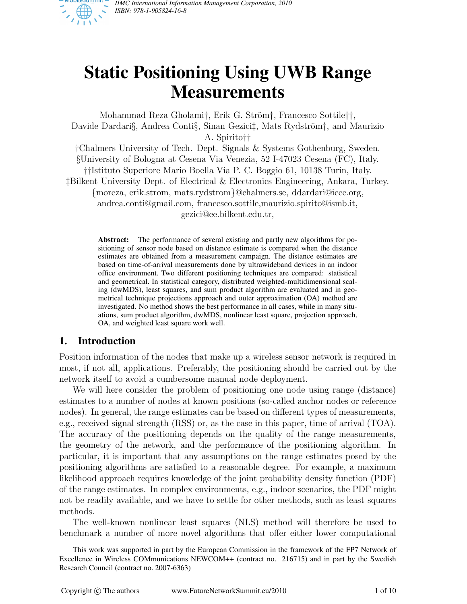

# **Static Positioning Using UWB Range Measurements**

Mohammad Reza Gholami†, Erik G. Ström†, Francesco Sottile††, Davide Dardari§, Andrea Conti§, Sinan Gezici‡, Mats Rydström†, and Maurizio A. Spirito†† †Chalmers University of Tech. Dept. Signals & Systems Gothenburg, Sweden. §University of Bologna at Cesena Via Venezia, 52 I-47023 Cesena (FC), Italy. ††Istituto Superiore Mario Boella Via P. C. Boggio 61, 10138 Turin, Italy. ‡Bilkent University Dept. of Electrical & Electronics Engineering, Ankara, Turkey. {moreza, erik.strom, mats.rydstrom}@chalmers.se, ddardari@ieee.org, andrea.conti@gmail.com, francesco.sottile,maurizio.spirito@ismb.it,

gezici@ee.bilkent.edu.tr,

**Abstract:** The performance of several existing and partly new algorithms for positioning of sensor node based on distance estimate is compared when the distance estimates are obtained from a measurement campaign. The distance estimates are based on time-of-arrival measurements done by ultrawideband devices in an indoor office environment. Two different positioning techniques are compared: statistical and geometrical. In statistical category, distributed weighted-multidimensional scaling (dwMDS), least squares, and sum product algorithm are evaluated and in geometrical technique projections approach and outer approximation (OA) method are investigated. No method shows the best performance in all cases, while in many situations, sum product algorithm, dwMDS, nonlinear least square, projection approach, OA, and weighted least square work well.

## **1. Introduction**

Position information of the nodes that make up a wireless sensor network is required in most, if not all, applications. Preferably, the positioning should be carried out by the network itself to avoid a cumbersome manual node deployment.

We will here consider the problem of positioning one node using range (distance) estimates to a number of nodes at known positions (so-called anchor nodes or reference nodes). In general, the range estimates can be based on different types of measurements, e.g., received signal strength (RSS) or, as the case in this paper, time of arrival (TOA). The accuracy of the positioning depends on the quality of the range measurements, the geometry of the network, and the performance of the positioning algorithm. In particular, it is important that any assumptions on the range estimates posed by the positioning algorithms are satisfied to a reasonable degree. For example, a maximum likelihood approach requires knowledge of the joint probability density function (PDF) of the range estimates. In complex environments, e.g., indoor scenarios, the PDF might not be readily available, and we have to settle for other methods, such as least squares methods.

The well-known nonlinear least squares (NLS) method will therefore be used to benchmark a number of more novel algorithms that offer either lower computational

This work was supported in part by the European Commission in the framework of the FP7 Network of Excellence in Wireless COMmunications NEWCOM++ (contract no. 216715) and in part by the Swedish Research Council (contract no. 2007-6363)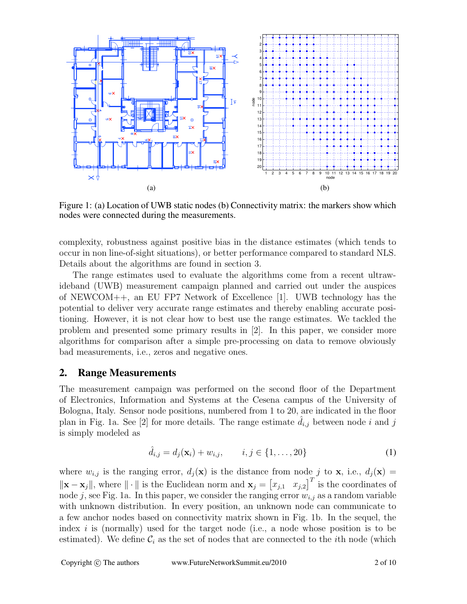

Figure 1: (a) Location of UWB static nodes (b) Connectivity matrix: the markers show which nodes were connected during the measurements.

complexity, robustness against positive bias in the distance estimates (which tends to occur in non line-of-sight situations), or better performance compared to standard NLS. Details about the algorithms are found in section 3.

The range estimates used to evaluate the algorithms come from a recent ultrawideband (UWB) measurement campaign planned and carried out under the auspices of NEWCOM++, an EU FP7 Network of Excellence [1]. UWB technology has the potential to deliver very accurate range estimates and thereby enabling accurate positioning. However, it is not clear how to best use the range estimates. We tackled the problem and presented some primary results in [2]. In this paper, we consider more algorithms for comparison after a simple pre-processing on data to remove obviously bad measurements, i.e., zeros and negative ones.

## **2. Range Measurements**

The measurement campaign was performed on the second floor of the Department of Electronics, Information and Systems at the Cesena campus of the University of Bologna, Italy. Sensor node positions, numbered from 1 to 20, are indicated in the floor plan in Fig. 1a. See [2] for more details. The range estimate  $d_{i,j}$  between node i and j is simply modeled as

$$
\hat{d}_{i,j} = d_j(\mathbf{x}_i) + w_{i,j}, \qquad i, j \in \{1, \dots, 20\}
$$
 (1)

where  $w_{i,j}$  is the ranging error,  $d_i(\mathbf{x})$  is the distance from node j to **x**, i.e.,  $d_i(\mathbf{x}) =$  $\|\mathbf{x} - \mathbf{x}_j\|$ , where  $\|\cdot\|$  is the Euclidean norm and  $\mathbf{x}_j = \begin{bmatrix} x_{j,1} & x_{j,2} \end{bmatrix}^T$  is the coordinates of node j, see Fig. 1a. In this paper, we consider the ranging error  $w_{i,j}$  as a random variable with unknown distribution. In every position, an unknown node can communicate to a few anchor nodes based on connectivity matrix shown in Fig. 1b. In the sequel, the index  $i$  is (normally) used for the target node (i.e., a node whose position is to be estimated). We define  $\mathcal{C}_i$  as the set of nodes that are connected to the *i*th node (which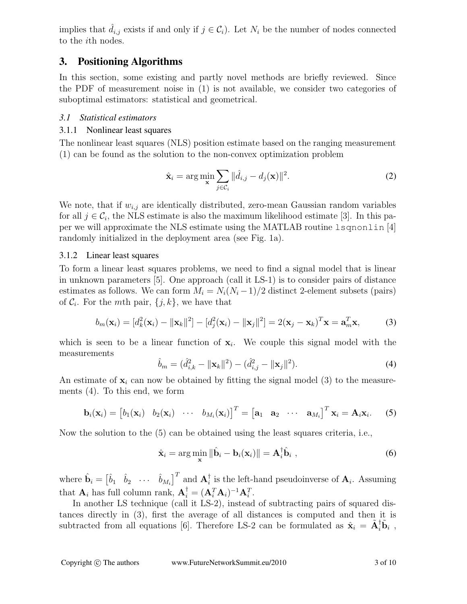implies that  $\hat{d}_{i,j}$  exists if and only if  $j \in \mathcal{C}_i$ . Let  $N_i$  be the number of nodes connected to the ith nodes.

# **3. Positioning Algorithms**

In this section, some existing and partly novel methods are briefly reviewed. Since the PDF of measurement noise in (1) is not available, we consider two categories of suboptimal estimators: statistical and geometrical.

## *3.1 Statistical estimators*

## 3.1.1 Nonlinear least squares

The nonlinear least squares (NLS) position estimate based on the ranging measurement (1) can be found as the solution to the non-convex optimization problem

$$
\hat{\mathbf{x}}_i = \arg\min_{\mathbf{x}} \sum_{j \in \mathcal{C}_i} ||\hat{d}_{i,j} - d_j(\mathbf{x})||^2.
$$
 (2)

We note, that if  $w_{i,j}$  are identically distributed, zero-mean Gaussian random variables for all  $j \in \mathcal{C}_i$ , the NLS estimate is also the maximum likelihood estimate [3]. In this paper we will approximate the NLS estimate using the MATLAB routine lsqnonlin [4] randomly initialized in the deployment area (see Fig. 1a).

## 3.1.2 Linear least squares

To form a linear least squares problems, we need to find a signal model that is linear in unknown parameters [5]. One approach (call it LS-1) is to consider pairs of distance estimates as follows. We can form  $M_i = N_i(N_i - 1)/2$  distinct 2-element subsets (pairs) of  $\mathcal{C}_i$ . For the *mth* pair,  $\{j, k\}$ , we have that

$$
b_m(\mathbf{x}_i) = [d_k^2(\mathbf{x}_i) - ||\mathbf{x}_k||^2] - [d_j^2(\mathbf{x}_i) - ||\mathbf{x}_j||^2] = 2(\mathbf{x}_j - \mathbf{x}_k)^T \mathbf{x} = \mathbf{a}_m^T \mathbf{x},
$$
 (3)

which is seen to be a linear function of  $x_i$ . We couple this signal model with the measurements

$$
\hat{b}_m = (\hat{d}_{i,k}^2 - ||\mathbf{x}_k||^2) - (\hat{d}_{i,j}^2 - ||\mathbf{x}_j||^2). \tag{4}
$$

An estimate of  $x_i$  can now be obtained by fitting the signal model (3) to the measurements (4). To this end, we form

$$
\mathbf{b}_i(\mathbf{x}_i) = \begin{bmatrix} b_1(\mathbf{x}_i) & b_2(\mathbf{x}_i) & \cdots & b_{M_i}(\mathbf{x}_i) \end{bmatrix}^T = \begin{bmatrix} \mathbf{a}_1 & \mathbf{a}_2 & \cdots & \mathbf{a}_{M_i} \end{bmatrix}^T \mathbf{x}_i = \mathbf{A}_i \mathbf{x}_i.
$$
 (5)

Now the solution to the (5) can be obtained using the least squares criteria, i.e.,

$$
\hat{\mathbf{x}}_i = \arg\min_{\mathbf{x}} \|\hat{\mathbf{b}}_i - \mathbf{b}_i(\mathbf{x}_i)\| = \mathbf{A}_i^{\dagger} \hat{\mathbf{b}}_i,
$$
\n(6)

where  $\hat{\mathbf{b}}_i = \begin{bmatrix} \hat{b}_1 & \hat{b}_2 & \cdots & \hat{b}_{M_i} \end{bmatrix}^T$  and  $\mathbf{A}_i^{\dagger}$  $\mathbf{a}_i^{\dagger}$  is the left-hand pseudoinverse of  $\mathbf{A}_i$ . Assuming that  $\mathbf{A}_i$  has full column rank,  $\mathbf{A}_i^{\dagger} = (\mathbf{A}_i^T \mathbf{A}_i)^{-1} \mathbf{A}_i^T$ .

In another LS technique (call it LS-2), instead of subtracting pairs of squared distances directly in (3), first the average of all distances is computed and then it is subtracted from all equations [6]. Therefore LS-2 can be formulated as  $\hat{\mathbf{x}}_i = \tilde{\mathbf{A}}_i^{\dagger} \tilde{\mathbf{b}}_i$ ,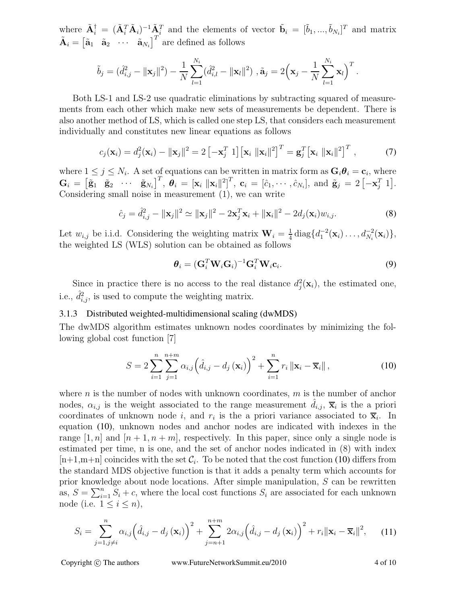where  $\tilde{\mathbf{A}}_i^{\dagger} = (\tilde{\mathbf{A}}_i^T \tilde{\mathbf{A}}_i)^{-1} \tilde{\mathbf{A}}_i^T$  and the elements of vector  $\tilde{\mathbf{b}}_i = [\tilde{b}_1, ..., \tilde{b}_{N_i}]^T$  and matrix  $\tilde{\mathbf{A}}_i = \begin{bmatrix} \tilde{\mathbf{a}}_1 & \tilde{\mathbf{a}}_2 & \cdots & \tilde{\mathbf{a}}_{N_i} \end{bmatrix}^T$  are defined as follows

$$
\tilde{b}_j = (\hat{d}_{i,j}^2 - ||\mathbf{x}_j||^2) - \frac{1}{N} \sum_{l=1}^{N_i} (\hat{d}_{i,l}^2 - ||\mathbf{x}_l||^2) , \tilde{\mathbf{a}}_j = 2\Big(\mathbf{x}_j - \frac{1}{N} \sum_{l=1}^{N_i} \mathbf{x}_l\Big)^T.
$$

Both LS-1 and LS-2 use quadratic eliminations by subtracting squared of measurements from each other which make new sets of measurements be dependent. There is also another method of LS, which is called one step LS, that considers each measurement individually and constitutes new linear equations as follows

$$
c_j(\mathbf{x}_i) = d_j^2(\mathbf{x}_i) - ||\mathbf{x}_j||^2 = 2\left[-\mathbf{x}_j^T \; 1\right] \left[\mathbf{x}_i \; ||\mathbf{x}_i||^2\right]^T = \mathbf{g}_j^T \left[\mathbf{x}_i \; ||\mathbf{x}_i||^2\right]^T,\tag{7}
$$

where  $1 \leq j \leq N_i$ . A set of equations can be written in matrix form as  $\mathbf{G}_i \theta_i = \mathbf{c}_i$ , where  $\mathbf{G}_i = \begin{bmatrix} \tilde{\mathbf{g}}_1 & \tilde{\mathbf{g}}_2 & \cdots & \tilde{\mathbf{g}}_{N_i} \end{bmatrix}^T, \ \boldsymbol{\theta}_i = \begin{bmatrix} \mathbf{x}_i & \|\mathbf{x}_i\|^2 \end{bmatrix}^T, \ \mathbf{c}_i = \begin{bmatrix} \hat{c}_1, \cdots, \hat{c}_{N_i} \end{bmatrix}, \ \text{and} \ \tilde{\mathbf{g}}_j = 2 \begin{bmatrix} -\mathbf{x}_j^T & 1 \end{bmatrix}.$ Considering small noise in measurement (1), we can write

$$
\hat{c}_j = \hat{d}_{i,j}^2 - ||\mathbf{x}_j||^2 \simeq ||\mathbf{x}_j||^2 - 2\mathbf{x}_j^T \mathbf{x}_i + ||\mathbf{x}_i||^2 - 2d_j(\mathbf{x}_i) w_{i,j}.
$$
\n(8)

Let  $w_{i,j}$  be i.i.d. Considering the weighting matrix  $\mathbf{W}_i = \frac{1}{4}$  $\frac{1}{4}$  diag $\{d_1^{-2}(\mathbf{x}_i)\dots, d_{N_i}^{-2}\}$  $\frac{-2}{N_i}({\bf x}_i)\},\$ the weighted LS (WLS) solution can be obtained as follows

$$
\boldsymbol{\theta}_i = (\mathbf{G}_i^T \mathbf{W}_i \mathbf{G}_i)^{-1} \mathbf{G}_i^T \mathbf{W}_i \mathbf{c}_i.
$$
\n(9)

Since in practice there is no access to the real distance  $d_i^2$  $j(\mathbf{x}_i)$ , the estimated one, i.e.,  $\hat{d}_{i,j}^2$ , is used to compute the weighting matrix.

#### 3.1.3 Distributed weighted-multidimensional scaling (dwMDS)

The dwMDS algorithm estimates unknown nodes coordinates by minimizing the following global cost function [7]

$$
S = 2\sum_{i=1}^{n} \sum_{j=1}^{n+m} \alpha_{i,j} \left( \hat{d}_{i,j} - d_j \left( \mathbf{x}_i \right) \right)^2 + \sum_{i=1}^{n} r_i \left\| \mathbf{x}_i - \overline{\mathbf{x}}_i \right\|,
$$
 (10)

where n is the number of nodes with unknown coordinates,  $m$  is the number of anchor nodes,  $\alpha_{i,j}$  is the weight associated to the range measurement  $\hat{d}_{i,j}$ ,  $\overline{\mathbf{x}}_i$  is the a priori coordinates of unknown node i, and  $r_i$  is the a priori variance associated to  $\bar{\mathbf{x}}_i$ . In equation (10), unknown nodes and anchor nodes are indicated with indexes in the range [1, n] and  $[n+1, n+m]$ , respectively. In this paper, since only a single node is estimated per time, n is one, and the set of anchor nodes indicated in (8) with index  $[n+1,m+n]$  coincides with the set  $\mathcal{C}_i$ . To be noted that the cost function (10) differs from the standard MDS objective function is that it adds a penalty term which accounts for prior knowledge about node locations. After simple manipulation, S can be rewritten as,  $S = \sum_{i=1}^{n} S_i + c$ , where the local cost functions  $S_i$  are associated for each unknown node (i.e.  $1 \leq i \leq n$ ),

$$
S_{i} = \sum_{j=1, j \neq i}^{n} \alpha_{i,j} \left( \hat{d}_{i,j} - d_{j} \left( \mathbf{x}_{i} \right) \right)^{2} + \sum_{j=n+1}^{n+m} 2 \alpha_{i,j} \left( \hat{d}_{i,j} - d_{j} \left( \mathbf{x}_{i} \right) \right)^{2} + r_{i} ||\mathbf{x}_{i} - \overline{\mathbf{x}}_{i}||^{2}, \quad (11)
$$

Copyright © The authors www.FutureNetworkSummit.eu/2010 4 of 10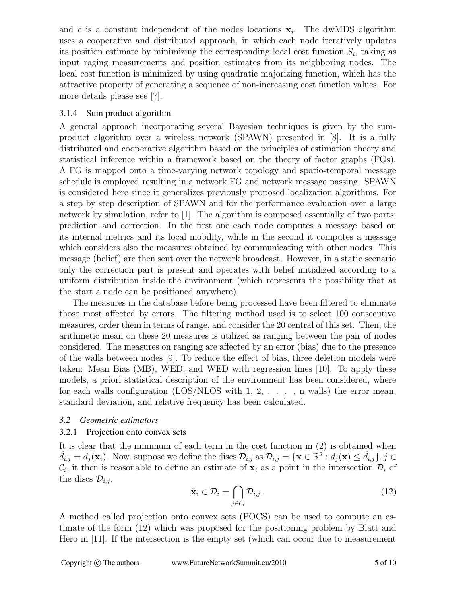and c is a constant independent of the nodes locations  $x_i$ . The dwMDS algorithm uses a cooperative and distributed approach, in which each node iteratively updates its position estimate by minimizing the corresponding local cost function  $S_i$ , taking as input raging measurements and position estimates from its neighboring nodes. The local cost function is minimized by using quadratic majorizing function, which has the attractive property of generating a sequence of non-increasing cost function values. For more details please see [7].

#### 3.1.4 Sum product algorithm

A general approach incorporating several Bayesian techniques is given by the sumproduct algorithm over a wireless network (SPAWN) presented in [8]. It is a fully distributed and cooperative algorithm based on the principles of estimation theory and statistical inference within a framework based on the theory of factor graphs (FGs). A FG is mapped onto a time-varying network topology and spatio-temporal message schedule is employed resulting in a network FG and network message passing. SPAWN is considered here since it generalizes previously proposed localization algorithms. For a step by step description of SPAWN and for the performance evaluation over a large network by simulation, refer to [1]. The algorithm is composed essentially of two parts: prediction and correction. In the first one each node computes a message based on its internal metrics and its local mobility, while in the second it computes a message which considers also the measures obtained by communicating with other nodes. This message (belief) are then sent over the network broadcast. However, in a static scenario only the correction part is present and operates with belief initialized according to a uniform distribution inside the environment (which represents the possibility that at the start a node can be positioned anywhere).

The measures in the database before being processed have been filtered to eliminate those most affected by errors. The filtering method used is to select 100 consecutive measures, order them in terms of range, and consider the 20 central of this set. Then, the arithmetic mean on these 20 measures is utilized as ranging between the pair of nodes considered. The measures on ranging are affected by an error (bias) due to the presence of the walls between nodes [9]. To reduce the effect of bias, three deletion models were taken: Mean Bias (MB), WED, and WED with regression lines [10]. To apply these models, a priori statistical description of the environment has been considered, where for each walls configuration (LOS/NLOS with  $1, 2, \ldots$ , n walls) the error mean, standard deviation, and relative frequency has been calculated.

#### *3.2 Geometric estimators*

#### 3.2.1 Projection onto convex sets

It is clear that the minimum of each term in the cost function in (2) is obtained when  $\hat{d}_{i,j} = d_j(\mathbf{x}_i)$ . Now, suppose we define the discs  $\mathcal{D}_{i,j}$  as  $\mathcal{D}_{i,j} = \{\mathbf{x} \in \mathbb{R}^2 : d_j(\mathbf{x}) \leq \hat{d}_{i,j}\}, j \in$  $\mathcal{C}_i$ , it then is reasonable to define an estimate of  $\mathbf{x}_i$  as a point in the intersection  $\mathcal{D}_i$  of the discs  $\mathcal{D}_{i,j}$ ,

$$
\hat{\mathbf{x}}_i \in \mathcal{D}_i = \bigcap_{j \in \mathcal{C}_i} \mathcal{D}_{i,j} \,. \tag{12}
$$

A method called projection onto convex sets (POCS) can be used to compute an estimate of the form (12) which was proposed for the positioning problem by Blatt and Hero in [11]. If the intersection is the empty set (which can occur due to measurement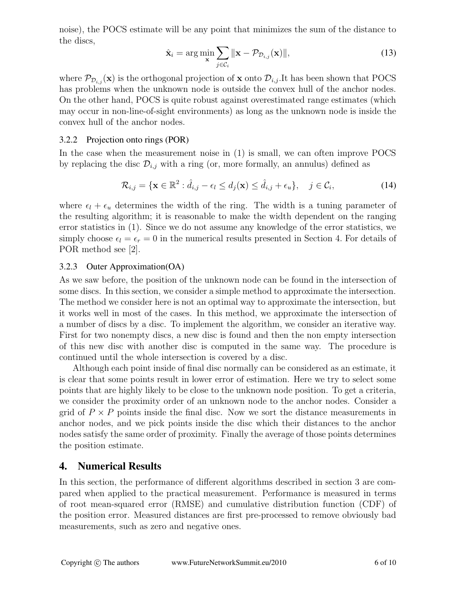noise), the POCS estimate will be any point that minimizes the sum of the distance to the discs,

$$
\hat{\mathbf{x}}_i = \arg\min_{\mathbf{x}} \sum_{j \in \mathcal{C}_i} \|\mathbf{x} - \mathcal{P}_{\mathcal{D}_{i,j}}(\mathbf{x})\|,\tag{13}
$$

where  $\mathcal{P}_{\mathcal{D}_{i,j}}(\mathbf{x})$  is the orthogonal projection of **x** onto  $\mathcal{D}_{i,j}$ . It has been shown that POCS has problems when the unknown node is outside the convex hull of the anchor nodes. On the other hand, POCS is quite robust against overestimated range estimates (which may occur in non-line-of-sight environments) as long as the unknown node is inside the convex hull of the anchor nodes.

#### 3.2.2 Projection onto rings (POR)

In the case when the measurement noise in (1) is small, we can often improve POCS by replacing the disc  $\mathcal{D}_{i,j}$  with a ring (or, more formally, an annulus) defined as

$$
\mathcal{R}_{i,j} = \{ \mathbf{x} \in \mathbb{R}^2 : \hat{d}_{i,j} - \epsilon_l \le d_j(\mathbf{x}) \le \hat{d}_{i,j} + \epsilon_u \}, \quad j \in \mathcal{C}_i,
$$
\n(14)

where  $\epsilon_l + \epsilon_u$  determines the width of the ring. The width is a tuning parameter of the resulting algorithm; it is reasonable to make the width dependent on the ranging error statistics in (1). Since we do not assume any knowledge of the error statistics, we simply choose  $\epsilon_l = \epsilon_r = 0$  in the numerical results presented in Section 4. For details of POR method see [2].

#### 3.2.3 Outer Approximation(OA)

As we saw before, the position of the unknown node can be found in the intersection of some discs. In this section, we consider a simple method to approximate the intersection. The method we consider here is not an optimal way to approximate the intersection, but it works well in most of the cases. In this method, we approximate the intersection of a number of discs by a disc. To implement the algorithm, we consider an iterative way. First for two nonempty discs, a new disc is found and then the non empty intersection of this new disc with another disc is computed in the same way. The procedure is continued until the whole intersection is covered by a disc.

Although each point inside of final disc normally can be considered as an estimate, it is clear that some points result in lower error of estimation. Here we try to select some points that are highly likely to be close to the unknown node position. To get a criteria, we consider the proximity order of an unknown node to the anchor nodes. Consider a grid of  $P \times P$  points inside the final disc. Now we sort the distance measurements in anchor nodes, and we pick points inside the disc which their distances to the anchor nodes satisfy the same order of proximity. Finally the average of those points determines the position estimate.

#### **4. Numerical Results**

In this section, the performance of different algorithms described in section 3 are compared when applied to the practical measurement. Performance is measured in terms of root mean-squared error (RMSE) and cumulative distribution function (CDF) of the position error. Measured distances are first pre-processed to remove obviously bad measurements, such as zero and negative ones.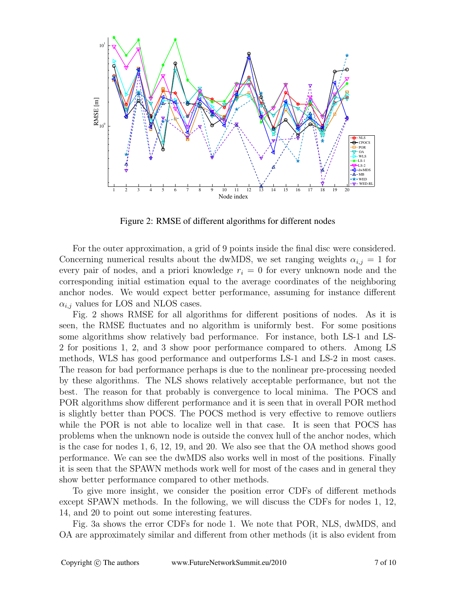

Figure 2: RMSE of different algorithms for different nodes

For the outer approximation, a grid of 9 points inside the final disc were considered. Concerning numerical results about the dwMDS, we set ranging weights  $\alpha_{i,j} = 1$  for every pair of nodes, and a priori knowledge  $r_i = 0$  for every unknown node and the corresponding initial estimation equal to the average coordinates of the neighboring anchor nodes. We would expect better performance, assuming for instance different  $\alpha_{i,j}$  values for LOS and NLOS cases.

Fig. 2 shows RMSE for all algorithms for different positions of nodes. As it is seen, the RMSE fluctuates and no algorithm is uniformly best. For some positions some algorithms show relatively bad performance. For instance, both LS-1 and LS-2 for positions 1, 2, and 3 show poor performance compared to others. Among LS methods, WLS has good performance and outperforms LS-1 and LS-2 in most cases. The reason for bad performance perhaps is due to the nonlinear pre-processing needed by these algorithms. The NLS shows relatively acceptable performance, but not the best. The reason for that probably is convergence to local minima. The POCS and POR algorithms show different performance and it is seen that in overall POR method is slightly better than POCS. The POCS method is very effective to remove outliers while the POR is not able to localize well in that case. It is seen that POCS has problems when the unknown node is outside the convex hull of the anchor nodes, which is the case for nodes 1, 6, 12, 19, and 20. We also see that the OA method shows good performance. We can see the dwMDS also works well in most of the positions. Finally it is seen that the SPAWN methods work well for most of the cases and in general they show better performance compared to other methods.

To give more insight, we consider the position error CDFs of different methods except SPAWN methods. In the following, we will discuss the CDFs for nodes 1, 12, 14, and 20 to point out some interesting features.

Fig. 3a shows the error CDFs for node 1. We note that POR, NLS, dwMDS, and OA are approximately similar and different from other methods (it is also evident from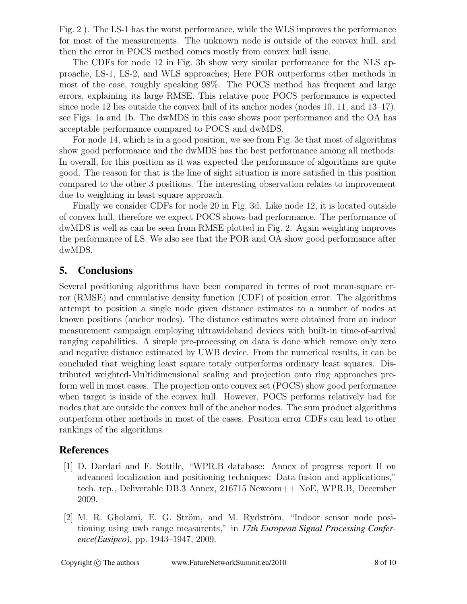Fig. 2 ). The LS-1 has the worst performance, while the WLS improves the performance for most of the measurements. The unknown node is outside of the convex hull, and then the error in POCS method comes mostly from convex hull issue.

The CDFs for node 12 in Fig. 3b show very similar performance for the NLS approache, LS-1, LS-2, and WLS approaches; Here POR outperforms other methods in most of the case, roughly speaking 98%. The POCS method has frequent and large errors, explaining its large RMSE. This relative poor POCS performance is expected since node 12 lies outside the convex hull of its anchor nodes (nodes 10, 11, and 13–17), see Figs. 1a and 1b. The dwMDS in this case shows poor performance and the OA has acceptable performance compared to POCS and dwMDS.

For node 14, which is in a good position, we see from Fig. 3c that most of algorithms show good performance and the dwMDS has the best performance among all methods. In overall, for this position as it was expected the performance of algorithms are quite good. The reason for that is the line of sight situation is more satisfied in this position compared to the other 3 positions. The interesting observation relates to improvement due to weighting in least square approach.

Finally we consider CDFs for node 20 in Fig. 3d. Like node 12, it is located outside of convex hull, therefore we expect POCS shows bad performance. The performance of dwMDS is well as can be seen from RMSE plotted in Fig. 2. Again weighting improves the performance of LS. We also see that the POR and OA show good performance after dwMDS.

# **5. Conclusions**

Several positioning algorithms have been compared in terms of root mean-square error (RMSE) and cumulative density function (CDF) of position error. The algorithms attempt to position a single node given distance estimates to a number of nodes at known positions (anchor nodes). The distance estimates were obtained from an indoor measurement campaign employing ultrawideband devices with built-in time-of-arrival ranging capabilities. A simple pre-processing on data is done which remove only zero and negative distance estimated by UWB device. From the numerical results, it can be concluded that weighing least square totaly outperforms ordinary least squares. Distributed weighted-Multidimensional scaling and projection onto ring approaches preform well in most cases. The projection onto convex set (POCS) show good performance when target is inside of the convex hull. However, POCS performs relatively bad for nodes that are outside the convex hull of the anchor nodes. The sum product algorithms outperform other methods in most of the cases. Position error CDFs can lead to other rankings of the algorithms.

# **References**

- [1] D. Dardari and F. Sottile, "WPR.B database: Annex of progress report II on advanced localization and positioning techniques: Data fusion and applications," tech. rep., Deliverable DB.3 Annex, 216715 Newcom++ NoE, WPR.B, December 2009.
- $[2]$  M. R. Gholami, E. G. Ström, and M. Rydström, "Indoor sensor node positioning using uwb range measurents," in *17th European Signal Processing Conference(Eusipco)*, pp. 1943–1947, 2009.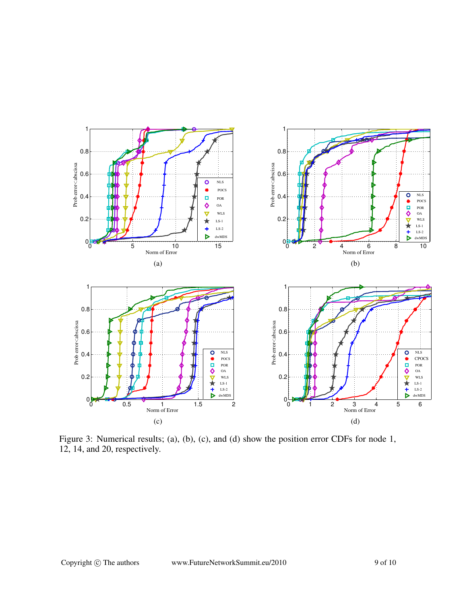

Figure 3: Numerical results; (a), (b), (c), and (d) show the position error CDFs for node 1, 12, 14, and 20, respectively.